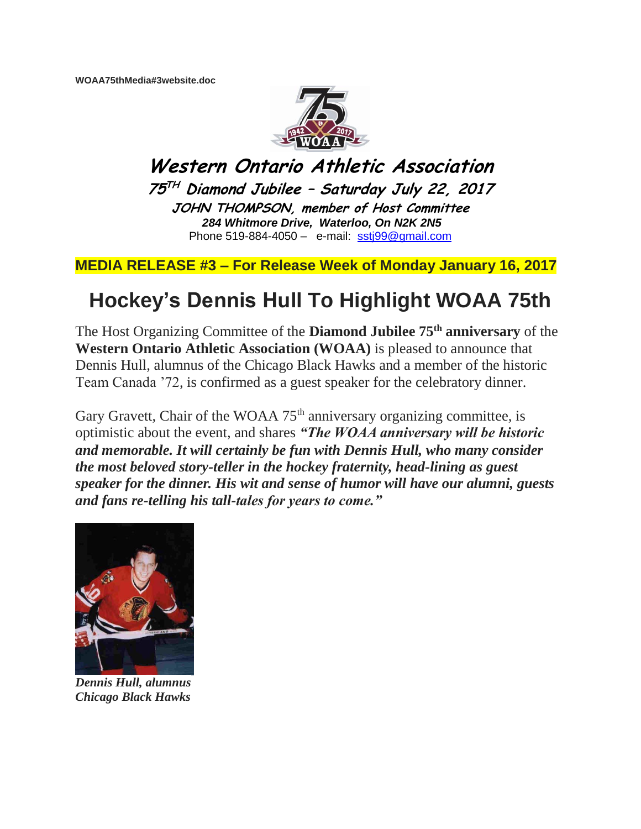**WOAA75thMedia#3website.doc**



**Western Ontario Athletic Association 75 TH Diamond Jubilee – Saturday July 22, 2017 JOHN THOMPSON, member of Host Committee** *284 Whitmore Drive, Waterloo, On N2K 2N5* Phone 519-884-4050 – e-mail: [sstj99@gmail.com](mailto:sstj99@gmail.com)

**MEDIA RELEASE #3 – For Release Week of Monday January 16, 2017**

## **Hockey's Dennis Hull To Highlight WOAA 75th**

The Host Organizing Committee of the **Diamond Jubilee 75th anniversary** of the **Western Ontario Athletic Association (WOAA)** is pleased to announce that Dennis Hull, alumnus of the Chicago Black Hawks and a member of the historic Team Canada '72, is confirmed as a guest speaker for the celebratory dinner.

Gary Gravett, Chair of the WOAA  $75<sup>th</sup>$  anniversary organizing committee, is optimistic about the event, and shares *"The WOAA anniversary will be historic and memorable. It will certainly be fun with Dennis Hull, who many consider the most beloved story-teller in the hockey fraternity, head-lining as guest speaker for the dinner. His wit and sense of humor will have our alumni, guests and fans re-telling his tall-tales for years to come."*



*Dennis Hull, alumnus Chicago Black Hawks*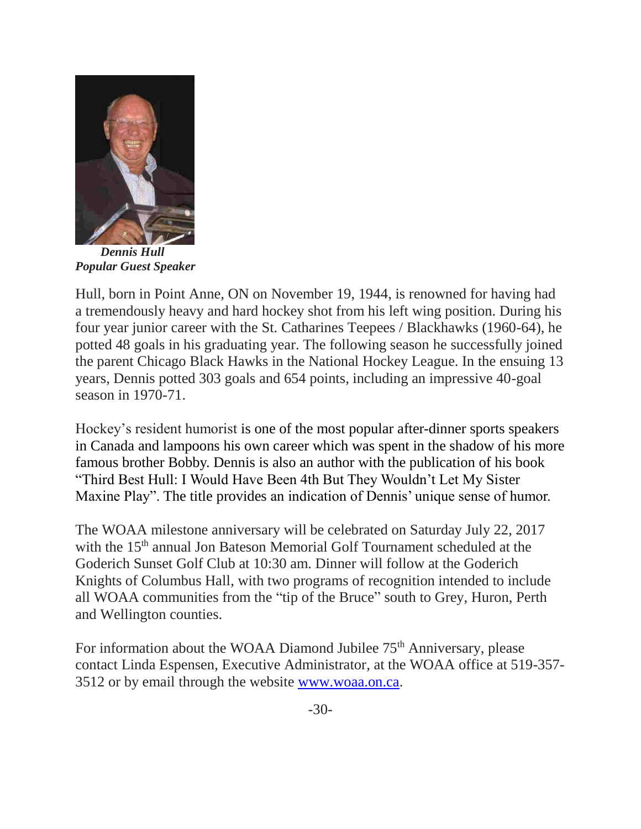

 *Dennis Hull Popular Guest Speaker*

Hull, born in Point Anne, ON on November 19, 1944, is renowned for having had a tremendously heavy and hard hockey shot from his left wing position. During his four year junior career with the St. Catharines Teepees / Blackhawks (1960-64), he potted 48 goals in his graduating year. The following season he successfully joined the parent Chicago Black Hawks in the National Hockey League. In the ensuing 13 years, Dennis potted 303 goals and 654 points, including an impressive 40-goal season in 1970-71.

Hockey's resident humorist is one of the most popular after-dinner sports speakers in Canada and lampoons his own career which was spent in the shadow of his more famous brother Bobby. Dennis is also an author with the publication of his book "Third Best Hull: I Would Have Been 4th But They Wouldn't Let My Sister Maxine Play". The title provides an indication of Dennis' unique sense of humor.

The WOAA milestone anniversary will be celebrated on Saturday July 22, 2017 with the 15<sup>th</sup> annual Jon Bateson Memorial Golf Tournament scheduled at the Goderich Sunset Golf Club at 10:30 am. Dinner will follow at the Goderich Knights of Columbus Hall, with two programs of recognition intended to include all WOAA communities from the "tip of the Bruce" south to Grey, Huron, Perth and Wellington counties.

For information about the WOAA Diamond Jubilee 75<sup>th</sup> Anniversary, please contact Linda Espensen, Executive Administrator, at the WOAA office at 519-357- 3512 or by email through the website [www.woaa.on.ca.](http://www.woaa.on.ca/)